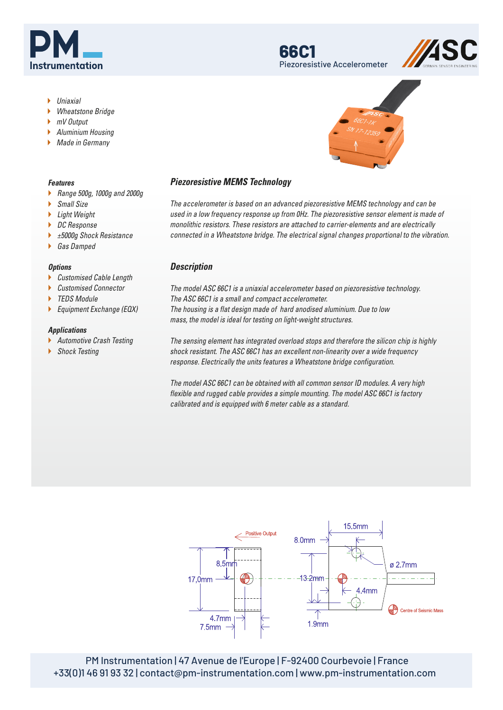

- *Uniaxial*
- *Wheatstone Bridge*
- *mV Output*
- *Aluminium Housing*
- *Made in Germany*

## *Features*

- *Range 500g, 1000g and 2000g*
- *Small Size*
- *Light Weight*
- *DC Response*
- *±5000g Shock Resistance*
- *Gas Damped*

### *Options*

- *Customised Cable Length*
- *Customised Connector*
- *TEDS Module*
- *Equipment Exchange (EQX)*

### *Applications*

- *Automotive Crash Testing*
- *Shock Testing*

# *Piezoresistive MEMS Technology*

*The accelerometer is based on an advanced piezoresistive MEMS technology and can be used in a low frequency response up from 0Hz. The piezoresistive sensor element is made of monolithic resistors. These resistors are attached to carrier-elements and are electrically connected in a Wheatstone bridge. The electrical signal changes proportional to the vibration.* 

**66C1**

Piezoresistive Accelerometer

# *Description*

- *The model ASC 66C1 is a uniaxial accelerometer based on piezoresistive technology.*
- *The ASC 66C1 is a small and compact accelerometer.*
- *The housing is a flat design made of hard anodised aluminium. Due to low mass, the model is ideal for testing on light-weight structures.*

*The sensing element has integrated overload stops and therefore the silicon chip is highly shock resistant. The ASC 66C1 has an excellent non-linearity over a wide frequency response. Electrically the units features a Wheatstone bridge configuration.*

*The model ASC 66C1 can be obtained with all common sensor ID modules. A very high flexible and rugged cable provides a simple mounting. The model ASC 66C1 is factory calibrated and is equipped with 6 meter cable as a standard.* 



PM Instrumentation | 47 Avenue de l'Europe | F-92400 Courbevoie | France +33(0)1 46 91 93 32 | contact@pm-instrumentation.com | www.pm-instrumentation.com





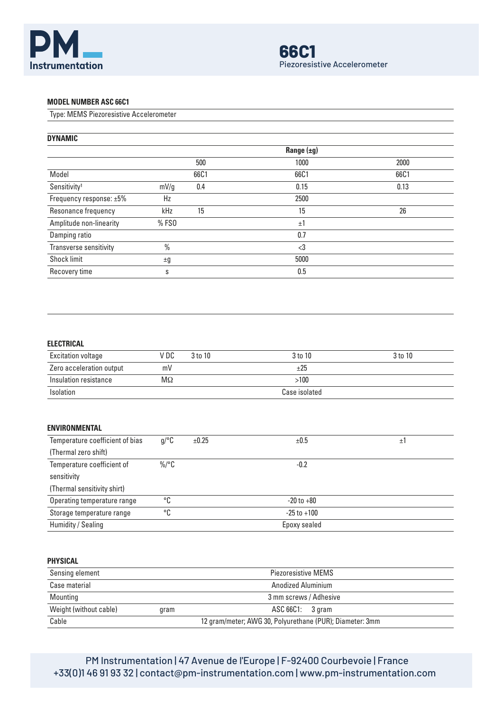

### **MODEL NUMBER ASC 66C1**

Type: MEMS Piezoresistive Accelerometer

| <b>DYNAMIC</b>                |      |      |                 |      |
|-------------------------------|------|------|-----------------|------|
|                               |      |      | Range $(\pm g)$ |      |
|                               |      | 500  | 1000            | 2000 |
| Model                         |      | 66C1 | 66C1            | 66C1 |
| Sensitivity <sup>1</sup>      | mV/g | 0.4  | 0.15            | 0.13 |
| Frequency response: $\pm 5\%$ | Hz   |      | 2500            |      |
| Resonance frequency           | kHz  | 15   | 15              | 26   |
| Amplitude non-linearity       | %FS0 |      | ±1              |      |
| Damping ratio                 |      |      | 0.7             |      |
| Transverse sensitivity        | $\%$ |      | $\langle$ 3     |      |
| Shock limit                   | ±9   |      | 5000            |      |
| Recovery time                 | S    |      | 0.5             |      |

# **ELECTRICAL**

| <b>Excitation voltage</b> | V DC | 3 to 10 | 3 to 10       | 3 to 10 |
|---------------------------|------|---------|---------------|---------|
| Zero acceleration output  | mV   |         | ±25           |         |
| Insulation resistance     | МΩ   |         | >100          |         |
| <b>Isolation</b>          |      |         | Case isolated |         |

### **ENVIRONMENTAL**

| Temperature coefficient of bias | $q$ /°C  | ±0.25 | ±0.5            | $\pm 1$ |
|---------------------------------|----------|-------|-----------------|---------|
| (Thermal zero shift)            |          |       |                 |         |
| Temperature coefficient of      | $\%$ /°C |       | $-0.2$          |         |
| sensitivity                     |          |       |                 |         |
| (Thermal sensitivity shirt)     |          |       |                 |         |
| Operating temperature range     | °C       |       | $-20$ to $+80$  |         |
| Storage temperature range       | °C       |       | $-25$ to $+100$ |         |
| Humidity / Sealing              |          |       | Epoxy sealed    |         |

## **PHYSICAL**

| Sensing element        |      | <b>Piezoresistive MEMS</b>                               |
|------------------------|------|----------------------------------------------------------|
| Case material          |      | Anodized Aluminium                                       |
| Mounting               |      | 3 mm screws / Adhesive                                   |
| Weight (without cable) | gram | ASC 66C1: 3 qram                                         |
| Cable                  |      | 12 gram/meter; AWG 30, Polyurethane (PUR); Diameter: 3mm |

PM Instrumentation | 47 Avenue de l'Europe | F-92400 Courbevoie | France +33(0)1 46 91 93 32 | contact@pm-instrumentation.com | www.pm-instrumentation.com